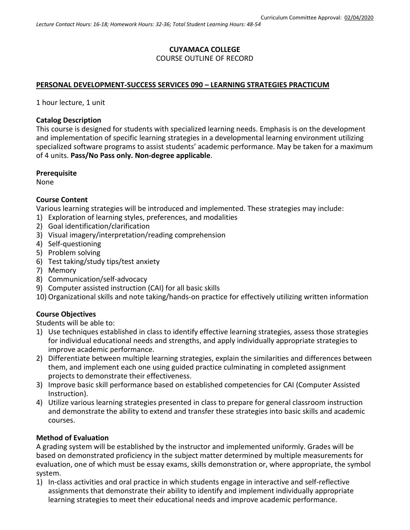# **CUYAMACA COLLEGE** COURSE OUTLINE OF RECORD

### **PERSONAL DEVELOPMENT-SUCCESS SERVICES 090 – LEARNING STRATEGIES PRACTICUM**

1 hour lecture, 1 unit

#### **Catalog Description**

This course is designed for students with specialized learning needs. Emphasis is on the development and implementation of specific learning strategies in a developmental learning environment utilizing specialized software programs to assist students' academic performance. May be taken for a maximum of 4 units. **Pass/No Pass only. Non-degree applicable**.

#### **Prerequisite**

None

### **Course Content**

Various learning strategies will be introduced and implemented. These strategies may include:

- 1) Exploration of learning styles, preferences, and modalities
- 2) Goal identification/clarification
- 3) Visual imagery/interpretation/reading comprehension
- 4) Self-questioning
- 5) Problem solving
- 6) Test taking/study tips/test anxiety
- 7) Memory
- 8) Communication/self-advocacy
- 9) Computer assisted instruction (CAI) for all basic skills
- 10) Organizational skills and note taking/hands-on practice for effectively utilizing written information

### **Course Objectives**

Students will be able to:

- 1) Use techniques established in class to identify effective learning strategies, assess those strategies for individual educational needs and strengths, and apply individually appropriate strategies to improve academic performance.
- 2) Differentiate between multiple learning strategies, explain the similarities and differences between them, and implement each one using guided practice culminating in completed assignment projects to demonstrate their effectiveness.
- 3) Improve basic skill performance based on established competencies for CAI (Computer Assisted Instruction).
- 4) Utilize various learning strategies presented in class to prepare for general classroom instruction and demonstrate the ability to extend and transfer these strategies into basic skills and academic courses.

### **Method of Evaluation**

A grading system will be established by the instructor and implemented uniformly. Grades will be based on demonstrated proficiency in the subject matter determined by multiple measurements for evaluation, one of which must be essay exams, skills demonstration or, where appropriate, the symbol system.

1) In-class activities and oral practice in which students engage in interactive and self-reflective assignments that demonstrate their ability to identify and implement individually appropriate learning strategies to meet their educational needs and improve academic performance.